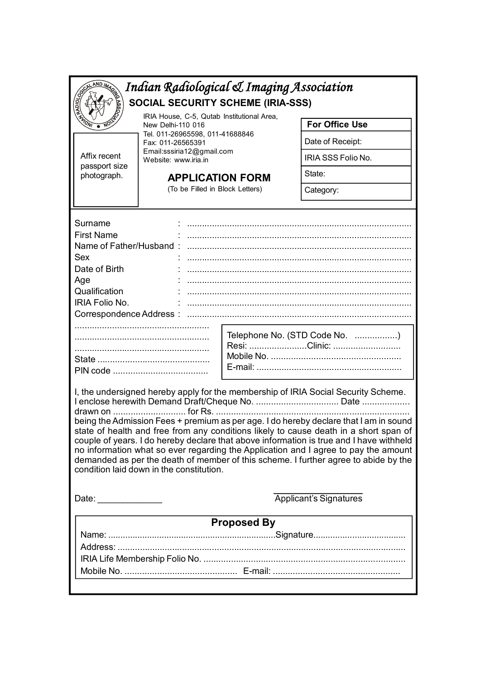| Indian Radiological & Imaging Association                                                                                                                                                                                                                                                                         |                                                                                                                                                                         |  |                       |  |  |  |  |
|-------------------------------------------------------------------------------------------------------------------------------------------------------------------------------------------------------------------------------------------------------------------------------------------------------------------|-------------------------------------------------------------------------------------------------------------------------------------------------------------------------|--|-----------------------|--|--|--|--|
| <b>POIOTA</b><br><b>SOCIAL SECURITY SCHEME (IRIA-SSS)</b>                                                                                                                                                                                                                                                         |                                                                                                                                                                         |  |                       |  |  |  |  |
| IRIA House, C-5, Qutab Institutional Area,<br><b>MATONI</b><br>New Delhi-110 016                                                                                                                                                                                                                                  |                                                                                                                                                                         |  | <b>For Office Use</b> |  |  |  |  |
|                                                                                                                                                                                                                                                                                                                   | Tel. 011-26965598, 011-41688846<br>Fax: 011-26565391<br>Email:sssiria12@gmail.com<br>Website: www.iria.in<br><b>APPLICATION FORM</b><br>(To be Filled in Block Letters) |  | Date of Receipt:      |  |  |  |  |
| Affix recent<br>passport size<br>photograph.                                                                                                                                                                                                                                                                      |                                                                                                                                                                         |  | IRIA SSS Folio No.    |  |  |  |  |
|                                                                                                                                                                                                                                                                                                                   |                                                                                                                                                                         |  | State:                |  |  |  |  |
|                                                                                                                                                                                                                                                                                                                   |                                                                                                                                                                         |  | Category:             |  |  |  |  |
|                                                                                                                                                                                                                                                                                                                   |                                                                                                                                                                         |  |                       |  |  |  |  |
| Surname<br><b>First Name</b><br>Sex<br>Date of Birth<br>Age<br>Qualification<br>IRIA Folio No.                                                                                                                                                                                                                    | Name of Father/Husband:<br>Telephone No. (STD Code No. )<br>Resi: Clinic:                                                                                               |  |                       |  |  |  |  |
| I, the undersigned hereby apply for the membership of IRIA Social Security Scheme.<br>being the Admission Fees + premium as per age. I do hereby declare that I am in sound<br>state of health and free from any conditions likely to cause death in a short span of                                              |                                                                                                                                                                         |  |                       |  |  |  |  |
| couple of years. I do hereby declare that above information is true and I have withheld<br>no information what so ever regarding the Application and I agree to pay the amount<br>demanded as per the death of member of this scheme. I further agree to abide by the<br>condition laid down in the constitution. |                                                                                                                                                                         |  |                       |  |  |  |  |
| <b>Applicant's Signatures</b><br>Date: _______________                                                                                                                                                                                                                                                            |                                                                                                                                                                         |  |                       |  |  |  |  |
| <b>Proposed By</b>                                                                                                                                                                                                                                                                                                |                                                                                                                                                                         |  |                       |  |  |  |  |